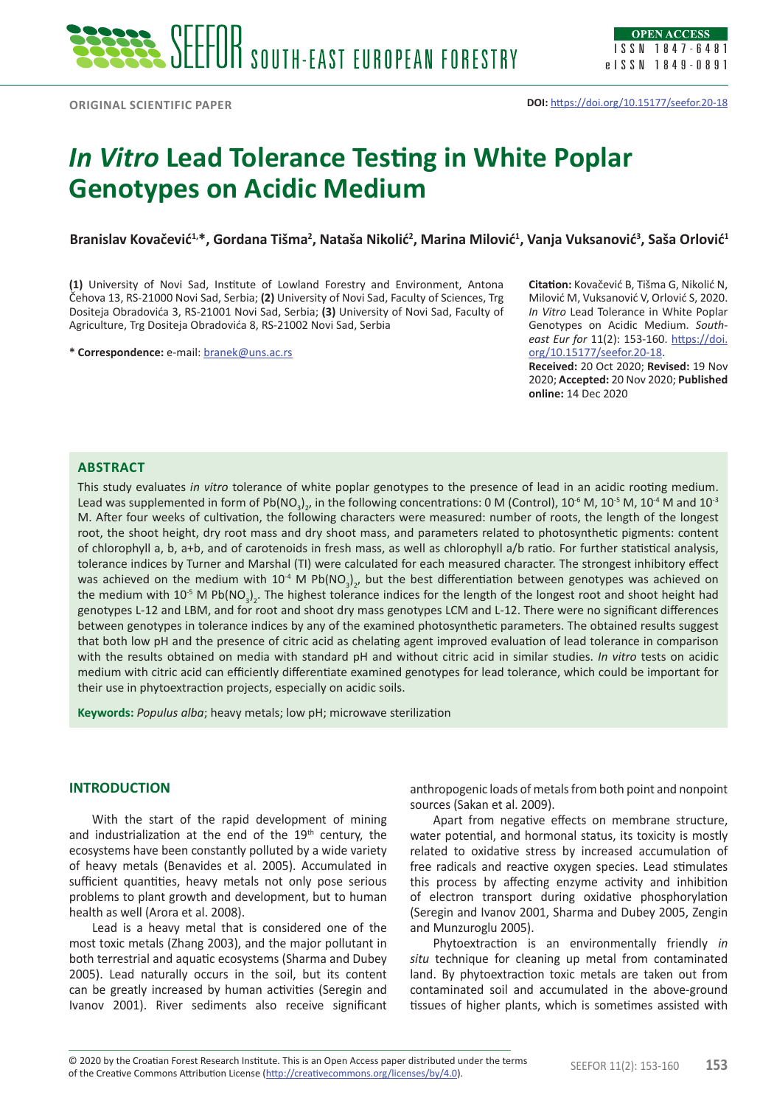# *In Vitro* **Lead Tolerance Testing in White Poplar Genotypes on Acidic Medium**

**Branislav Kovačević1,\*, Gordana Tišma2 , Nataša Nikolić<sup>2</sup> , Marina Milović<sup>1</sup> , Vanja Vuksanović<sup>3</sup> , Saša Orlović<sup>1</sup>**

**(1)** University of Novi Sad, Institute of Lowland Forestry and Environment, Antona Čehova 13, RS-21000 Novi Sad, Serbia; **(2)** University of Novi Sad, Faculty of Sciences, Trg Dositeja Obradovića 3, RS-21001 Novi Sad, Serbia; **(3)** University of Novi Sad, Faculty of Agriculture, Trg Dositeja Obradovića 8, RS-21002 Novi Sad, Serbia

**\* Correspondence:** e-mail: [branek@uns.ac.rs](mailto:branek@uns.ac.rs)

**Citation:** Kovačević B, Tišma G, Nikolić N, Milović M, Vuksanović V, Orlović S, 2020. *In Vitro* Lead Tolerance in White Poplar Genotypes on Acidic Medium. *Southeast Eur for* 11(2): 153-160. [https://doi.](https://doi.org/10.15177/seefor.20-18) [org/10.15177/seefor.20-18](https://doi.org/10.15177/seefor.20-18).

**Received:** 20 Oct 2020; **Revised:** 19 Nov 2020; **Accepted:** 20 Nov 2020; **Published online:** 14 Dec 2020

## **Abstract**

This study evaluates *in vitro* tolerance of white poplar genotypes to the presence of lead in an acidic rooting medium. Lead was supplemented in form of Pb(NO $_{3})_{2'}$  in the following concentrations: 0 M (Control), 10 $^{\circ}$  M, 10 $^{\circ}$  M, 10 $^{\circ}$  M and 10 $^{\circ}$ M. After four weeks of cultivation, the following characters were measured: number of roots, the length of the longest root, the shoot height, dry root mass and dry shoot mass, and parameters related to photosynthetic pigments: content of chlorophyll a, b, a+b, and of carotenoids in fresh mass, as well as chlorophyll a/b ratio. For further statistical analysis, tolerance indices by Turner and Marshal (TI) were calculated for each measured character. The strongest inhibitory effect was achieved on the medium with 10<sup>-4</sup> M Pb(NO<sub>3</sub>)<sub>2</sub>, but the best differentiation between genotypes was achieved on the medium with 10<sup>-5</sup> M Pb(NO<sub>3</sub>)<sub>2</sub>. The highest tolerance indices for the length of the longest root and shoot height had genotypes L-12 and LBM, and for root and shoot dry mass genotypes LCM and L-12. There were no significant differences between genotypes in tolerance indices by any of the examined photosynthetic parameters. The obtained results suggest that both low pH and the presence of citric acid as chelating agent improved evaluation of lead tolerance in comparison with the results obtained on media with standard pH and without citric acid in similar studies. *In vitro* tests on acidic medium with citric acid can efficiently differentiate examined genotypes for lead tolerance, which could be important for their use in phytoextraction projects, especially on acidic soils.

**Keywords:** *Populus alba*; heavy metals; low pH; microwave sterilization

# **INTRODUCTION**

With the start of the rapid development of mining and industrialization at the end of the  $19<sup>th</sup>$  century, the ecosystems have been constantly polluted by a wide variety of heavy metals (Benavides et al. 2005). Accumulated in sufficient quantities, heavy metals not only pose serious problems to plant growth and development, but to human health as well (Arora et al. 2008).

Lead is a heavy metal that is considered one of the most toxic metals (Zhang 2003), and the major pollutant in both terrestrial and aquatic ecosystems (Sharma and Dubey 2005). Lead naturally occurs in the soil, but its content can be greatly increased by human activities (Seregin and Ivanov 2001). River sediments also receive significant

anthropogenic loads of metals from both point and nonpoint sources (Sakan et al. 2009).

Apart from negative effects on membrane structure, water potential, and hormonal status, its toxicity is mostly related to oxidative stress by increased accumulation of free radicals and reactive oxygen species. Lead stimulates this process by affecting enzyme activity and inhibition of electron transport during oxidative phosphorylation (Seregin and Ivanov 2001, Sharma and Dubey 2005, Zengin and Munzuroglu 2005).

Phytoextraction is an environmentally friendly *in situ* technique for cleaning up metal from contaminated land. By phytoextraction toxic metals are taken out from contaminated soil and accumulated in the above-ground tissues of higher plants, which is sometimes assisted with

© 2020 by the Croatian Forest Research Institute. This is an Open Access paper distributed under the terms<br>of the Croative Commons Attribution License (http://croativecommons.org/licenses/by/4.0) of the Creative Commons Attribution License (<http://creativecommons.org/licenses/by/4.0>).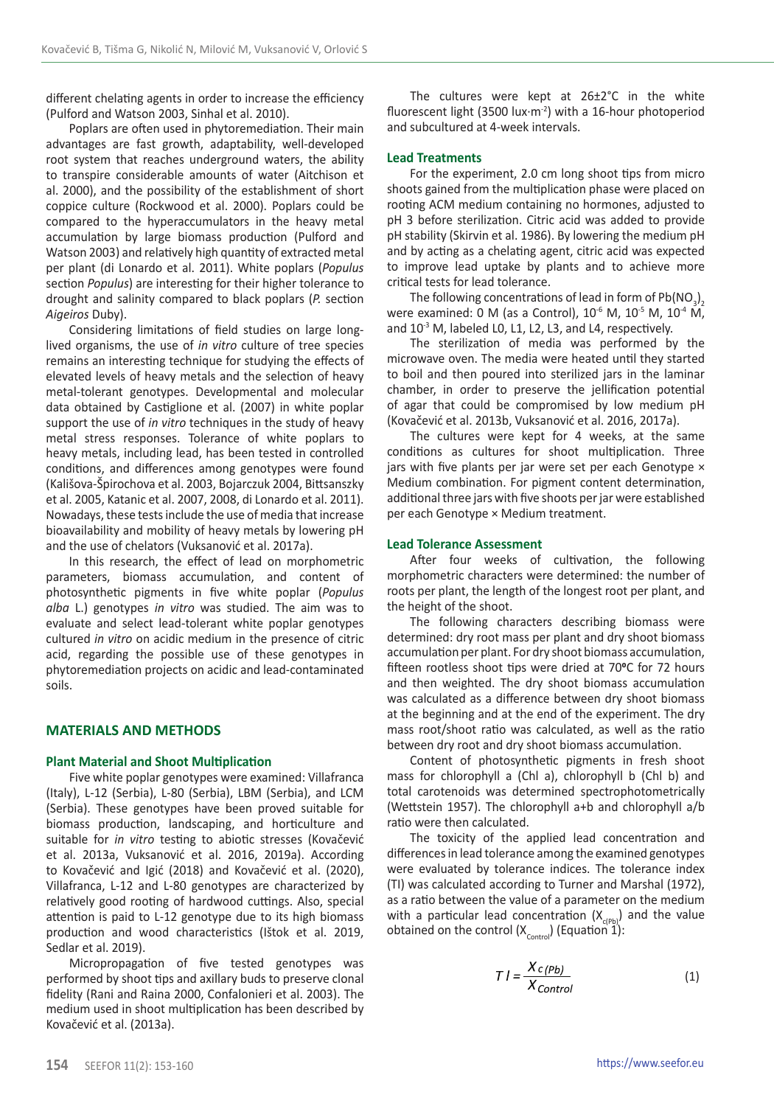different chelating agents in order to increase the efficiency (Pulford and Watson 2003, Sinhal et al. 2010).

Poplars are often used in phytoremediation. Their main advantages are fast growth, adaptability, well-developed root system that reaches underground waters, the ability to transpire considerable amounts of water (Aitchison et al. 2000), and the possibility of the establishment of short coppice culture (Rockwood et al. 2000). Poplars could be compared to the hyperaccumulators in the heavy metal accumulation by large biomass production (Pulford and Watson 2003) and relatively high quantity of extracted metal per plant (di Lonardo et al. 2011). White poplars (*Populus* section *Populus*) are interesting for their higher tolerance to drought and salinity compared to black poplars (*P.* section *Aigeiros* Duby).

Considering limitations of field studies on large longlived organisms, the use of *in vitro* culture of tree species remains an interesting technique for studying the effects of elevated levels of heavy metals and the selection of heavy metal-tolerant genotypes. Developmental and molecular data obtained by Castiglione et al. (2007) in white poplar support the use of *in vitro* techniques in the study of heavy metal stress responses. Tolerance of white poplars to heavy metals, including lead, has been tested in controlled conditions, and differences among genotypes were found (Kališova-Špirochova et al. 2003, Bojarczuk 2004, Bittsanszky et al. 2005, Katanic et al. 2007, 2008, di Lonardo et al. 2011). Nowadays, these tests include the use of media that increase bioavailability and mobility of heavy metals by lowering pH and the use of chelators (Vuksanović et al. 2017a).

In this research, the effect of lead on morphometric parameters, biomass accumulation, and content of photosynthetic pigments in five white poplar (*Populus alba* L.) genotypes *in vitro* was studied. The aim was to evaluate and select lead-tolerant white poplar genotypes cultured *in vitro* on acidic medium in the presence of citric acid, regarding the possible use of these genotypes in phytoremediation projects on acidic and lead-contaminated soils.

#### **MATERIALS AND METHODS**

#### **Plant Material and Shoot Multiplication**

Five white poplar genotypes were examined: Villafranca (Italy), L-12 (Serbia), L-80 (Serbia), LBM (Serbia), and LCM (Serbia). These genotypes have been proved suitable for biomass production, landscaping, and horticulture and suitable for *in vitro* testing to abiotic stresses (Kovačević et al. 2013a, Vuksanović et al. 2016, 2019a). According to Kovačević and Igić (2018) and Kovačević et al. (2020), Villafranca, L-12 and L-80 genotypes are characterized by relatively good rooting of hardwood cuttings. Also, special attention is paid to L-12 genotype due to its high biomass production and wood characteristics (Ištok et al. 2019, Sedlar et al. 2019).

Micropropagation of five tested genotypes was performed by shoot tips and axillary buds to preserve clonal fidelity (Rani and Raina 2000, Confalonieri et al. 2003). The medium used in shoot multiplication has been described by Kovačević et al. (2013a).

The cultures were kept at 26±2°C in the white fluorescent light (3500 lux∙m-2) with a 16-hour photoperiod and subcultured at 4-week intervals.

#### **Lead Treatments**

For the experiment, 2.0 cm long shoot tips from micro shoots gained from the multiplication phase were placed on rooting ACM medium containing no hormones, adjusted to pH 3 before sterilization. Citric acid was added to provide pH stability (Skirvin et al. 1986). By lowering the medium pH and by acting as a chelating agent, citric acid was expected to improve lead uptake by plants and to achieve more critical tests for lead tolerance.

The following concentrations of lead in form of  $Pb(NO_3)$ were examined: 0 M (as a Control),  $10^{-6}$  M,  $10^{-5}$  M,  $10^{-4}$  M, and 10<sup>-3</sup> M, labeled L0, L1, L2, L3, and L4, respectively.

The sterilization of media was performed by the microwave oven. The media were heated until they started to boil and then poured into sterilized jars in the laminar chamber, in order to preserve the jellification potential of agar that could be compromised by low medium pH (Kovačević et al. 2013b, Vuksanović et al. 2016, 2017a).

The cultures were kept for 4 weeks, at the same conditions as cultures for shoot multiplication. Three jars with five plants per jar were set per each Genotype  $\times$ Medium combination. For pigment content determination, additional three jars with five shoots per jar were established per each Genotype × Medium treatment.

#### **Lead Tolerance Assessment**

After four weeks of cultivation, the following morphometric characters were determined: the number of roots per plant, the length of the longest root per plant, and the height of the shoot.

The following characters describing biomass were determined: dry root mass per plant and dry shoot biomass accumulation per plant. For dry shoot biomass accumulation, fifteen rootless shoot tips were dried at 70**0**C for 72 hours and then weighted. The dry shoot biomass accumulation was calculated as a difference between dry shoot biomass at the beginning and at the end of the experiment. The dry mass root/shoot ratio was calculated, as well as the ratio between dry root and dry shoot biomass accumulation.

Content of photosynthetic pigments in fresh shoot mass for chlorophyll a (Chl a), chlorophyll b (Chl b) and total carotenoids was determined spectrophotometrically (Wettstein 1957). The chlorophyll a+b and chlorophyll a/b ratio were then calculated.

The toxicity of the applied lead concentration and differences in lead tolerance among the examined genotypes were evaluated by tolerance indices. The tolerance index (TI) was calculated according to Turner and Marshal (1972), as a ratio between the value of a parameter on the medium with a particular lead concentration  $(X_{c(Pb)})$  and the value obtained on the control  $(X_{control})$  (Equation 1):

$$
T = \frac{X_c(\rho_b)}{X_{Control}}
$$
 (1)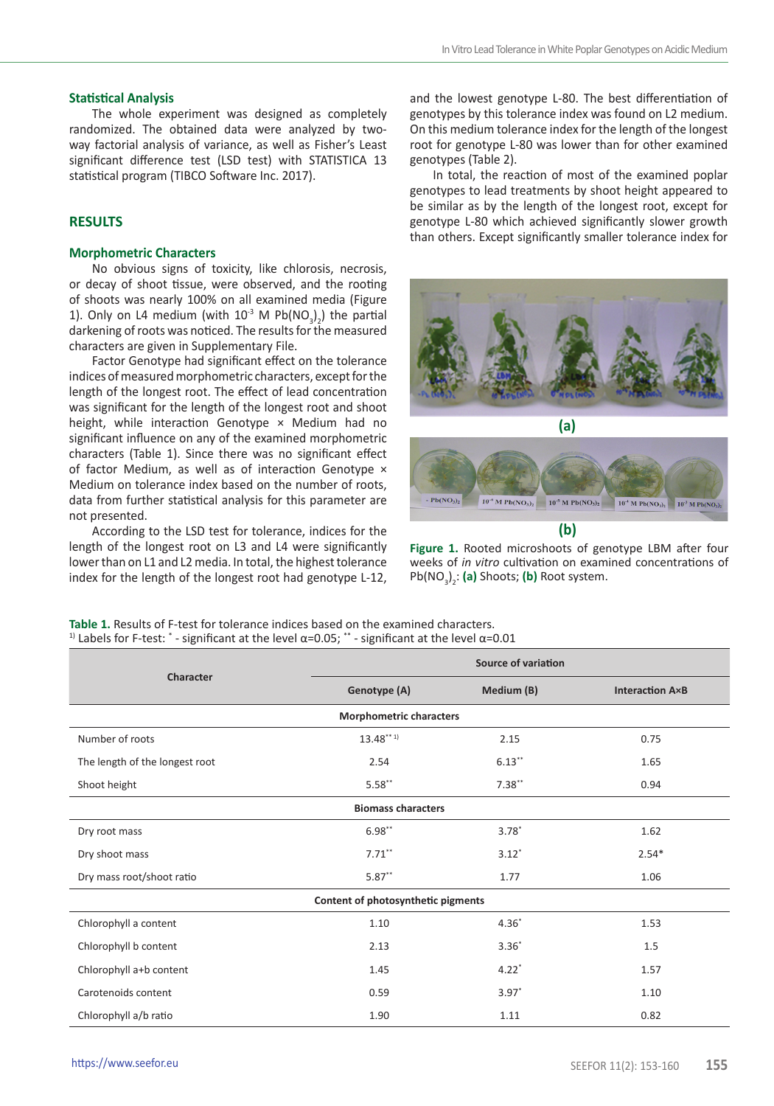#### **Statistical Analysis**

The whole experiment was designed as completely randomized. The obtained data were analyzed by twoway factorial analysis of variance, as well as Fisher's Least significant difference test (LSD test) with STATISTICA 13 statistical program (TIBCO Software Inc. 2017).

# **RESULTS**

## **Morphometric Characters**

No obvious signs of toxicity, like chlorosis, necrosis, or decay of shoot tissue, were observed, and the rooting of shoots was nearly 100% on all examined media (Figure 1). Only on L4 medium (with  $10^3$  M Pb(NO<sub>3</sub>)<sub>2</sub>) the partial darkening of roots was noticed. The results for the measured characters are given in Supplementary File.

Factor Genotype had significant effect on the tolerance indices of measured morphometric characters, except for the length of the longest root. The effect of lead concentration was significant for the length of the longest root and shoot height, while interaction Genotype × Medium had no significant influence on any of the examined morphometric characters (Table 1). Since there was no significant effect of factor Medium, as well as of interaction Genotype x Medium on tolerance index based on the number of roots, data from further statistical analysis for this parameter are not presented.

According to the LSD test for tolerance, indices for the length of the longest root on L3 and L4 were significantly lower than on L1 and L2 media. In total, the highest tolerance index for the length of the longest root had genotype L-12,

and the lowest genotype L-80. The best differentiation of genotypes by this tolerance index was found on L2 medium. On this medium tolerance index for the length of the longest root for genotype L-80 was lower than for other examined genotypes (Table 2).

In total, the reaction of most of the examined poplar genotypes to lead treatments by shoot height appeared to be similar as by the length of the longest root, except for genotype L-80 which achieved significantly slower growth than others. Except significantly smaller tolerance index for





**Figure 1.** Rooted microshoots of genotype LBM after four weeks of *in vitro* cultivation on examined concentrations of Pb(NO<sub>3</sub>)<sub>2</sub>: (a) Shoots; (b) Root system.

**Table 1.** Results of F-test for tolerance indices based on the examined characters. <sup>1)</sup> Labels for F-test:  $*$  - significant at the level α=0.05;  $*$  - significant at the level α=0.01

| Character                          | Source of variation |                        |         |  |  |  |  |  |  |
|------------------------------------|---------------------|------------------------|---------|--|--|--|--|--|--|
|                                    | Genotype (A)        | <b>Interaction A×B</b> |         |  |  |  |  |  |  |
| <b>Morphometric characters</b>     |                     |                        |         |  |  |  |  |  |  |
| Number of roots                    | $13.48***1$         | 2.15                   | 0.75    |  |  |  |  |  |  |
| The length of the longest root     | 2.54                | $6.13***$              | 1.65    |  |  |  |  |  |  |
| Shoot height                       | $5.58**$            | $7.38**$               | 0.94    |  |  |  |  |  |  |
| <b>Biomass characters</b>          |                     |                        |         |  |  |  |  |  |  |
| Dry root mass                      | $6.98**$            | $3.78^{*}$             | 1.62    |  |  |  |  |  |  |
| Dry shoot mass                     | $7.71***$           | $3.12*$                | $2.54*$ |  |  |  |  |  |  |
| Dry mass root/shoot ratio          | $5.87**$<br>1.77    |                        | 1.06    |  |  |  |  |  |  |
| Content of photosynthetic pigments |                     |                        |         |  |  |  |  |  |  |
| Chlorophyll a content              | 1.10                | $4.36*$                | 1.53    |  |  |  |  |  |  |
| Chlorophyll b content              | 2.13                | $3.36*$                | 1.5     |  |  |  |  |  |  |
| Chlorophyll a+b content            | 1.45                | $4.22*$                | 1.57    |  |  |  |  |  |  |
| Carotenoids content                | 0.59                | $3.97*$                | 1.10    |  |  |  |  |  |  |
| Chlorophyll a/b ratio              | 1.90                | 1.11                   | 0.82    |  |  |  |  |  |  |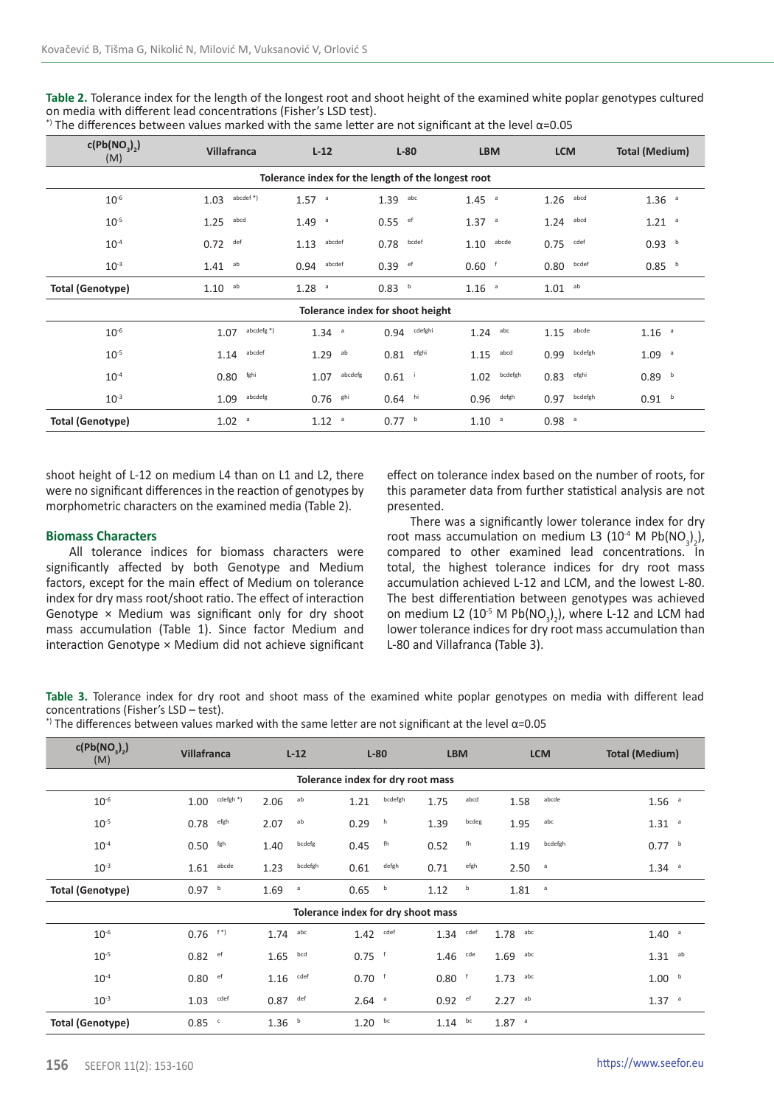**Table 2.** Tolerance index for the length of the longest root and shoot height of the examined white poplar genotypes cultured on media with different lead concentrations (Fisher's LSD test).

| c(Pb(NO <sub>3</sub> ))<br>(M) | Villafranca<br>$L-12$          |                     | $L-80$                                             | <b>LBM</b>          | <b>LCM</b>          | <b>Total (Medium)</b> |
|--------------------------------|--------------------------------|---------------------|----------------------------------------------------|---------------------|---------------------|-----------------------|
|                                |                                |                     | Tolerance index for the length of the longest root |                     |                     |                       |
| $10^{-6}$                      | abcdef*)<br>1.03               | $1.57$ <sup>a</sup> | abc<br>1.39                                        | $1.45$ <sup>a</sup> | abcd<br>1.26        | $1.36$ <sup>a</sup>   |
| $10^{-5}$                      | abcd<br>1.25                   | $1.49$ <sup>a</sup> | 0.55<br>ef                                         | $1.37$ <sup>a</sup> | abcd<br>1.24        | $1.21$ <sup>a</sup>   |
| $10^{-4}$                      | def<br>0.72                    | abcdef<br>1.13      | bcdef<br>0.78                                      | abcde<br>1.10       | $0.75$ cdef         | 0.93 <sup>b</sup>     |
| $10^{-3}$                      | ab<br>1.41                     | abcdef<br>0.94      | ef<br>0.39                                         | 0.60                | bcdef<br>0.80       | 0.85 <sup>b</sup>     |
| <b>Total (Genotype)</b>        | ab<br>1.10                     | 1.28 <sup>a</sup>   | 0.83<br>b                                          | $1.16$ <sup>a</sup> | $1.01$ ab           |                       |
|                                |                                |                     | Tolerance index for shoot height                   |                     |                     |                       |
| $10^{-6}$                      | abcdefg <sup>*</sup> )<br>1.07 | $1.34$ <sup>a</sup> | cdefghi<br>0.94                                    | abc<br>1.24         | abcde<br>1.15       | $1.16$ <sup>a</sup>   |
| $10^{-5}$                      | abcdef<br>1.14                 | $1.29$ ab           | efghi<br>0.81                                      | 1.15<br>abcd        | bcdefgh<br>0.99     | $1.09$ <sup>a</sup>   |
| $10^{-4}$                      | fghi<br>0.80                   | abcdefg<br>1.07     | $0.61$ $^{1}$                                      | bcdefgh<br>1.02     | $0.83$ efghi        | 0.89 <sup>b</sup>     |
| $10^{-3}$                      | abcdefg<br>1.09                | $0.76$ shi          | $0.64$ hi                                          | defgh<br>0.96       | bcdefgh<br>0.97     | 0.91 <sup>b</sup>     |
| <b>Total (Genotype)</b>        | $1.02$ <sup>a</sup>            | 1.12 <sup>a</sup>   | 0.77 <sup>b</sup>                                  | $1.10$ $a$          | $0.98$ <sup>a</sup> |                       |

\*) The differences between values marked with the same letter are not significant at the level α=0.05

shoot height of L-12 on medium L4 than on L1 and L2, there were no significant differences in the reaction of genotypes by morphometric characters on the examined media (Table 2).

#### **Biomass Characters**

All tolerance indices for biomass characters were significantly affected by both Genotype and Medium factors, except for the main effect of Medium on tolerance index for dry mass root/shoot ratio. The effect of interaction Genotype  $\times$  Medium was significant only for dry shoot mass accumulation (Table 1). Since factor Medium and interaction Genotype × Medium did not achieve significant effect on tolerance index based on the number of roots, for this parameter data from further statistical analysis are not presented.

There was a significantly lower tolerance index for dry root mass accumulation on medium L3 (10<sup>-4</sup> M Pb(NO<sub>3</sub>)<sub>2</sub>), compared to other examined lead concentrations. In total, the highest tolerance indices for dry root mass accumulation achieved L-12 and LCM, and the lowest L-80. The best differentiation between genotypes was achieved on medium L2  $(10^5 M Pb(NO<sub>3</sub>)<sub>2</sub>)$ , where L-12 and LCM had  $\frac{2}{2}$  lower tolerance indices for dry root mass accumulation than L-80 and Villafranca (Table 3).

**Table 3.** Tolerance index for dry root and shoot mass of the examined white poplar genotypes on media with different lead concentrations (Fisher's LSD – test).

\*) The differences between values marked with the same letter are not significant at the level  $\alpha$ =0.05

| c(Pb(NO <sub>2</sub> ))<br>(M) | <b>Villafranca</b>      | $L-12$            | $L-80$                             | <b>LBM</b>    | <b>LCM</b>          | <b>Total (Medium)</b> |  |
|--------------------------------|-------------------------|-------------------|------------------------------------|---------------|---------------------|-----------------------|--|
|                                |                         |                   |                                    |               |                     |                       |  |
| $10^{-6}$                      | cdefgh *)<br>1.00       | ab<br>2.06        | bcdefgh<br>1.21                    | abcd<br>1.75  | abcde<br>1.58       | $1.56$ <sup>a</sup>   |  |
| $10^{-5}$                      | efgh<br>0.78            | ab<br>2.07        | h<br>0.29                          | bcdeg<br>1.39 | abc<br>1.95         | $1.31$ <sup>a</sup>   |  |
| $10^{-4}$                      | $0.50$ fgh              | bcdefg<br>1.40    | fh<br>0.45                         | fh<br>0.52    | bcdefgh<br>1.19     | 0.77 <sup>b</sup>     |  |
| $10^{-3}$                      | abcde<br>1.61           | bcdefgh<br>1.23   | defgh<br>0.61                      | efgh<br>0.71  | 2.50<br>a           | $1.34 -$              |  |
| <b>Total (Genotype)</b>        | 0.97 <sup>b</sup>       | 1.69<br>a         | b<br>0.65                          | b<br>1.12     | 1.81<br>a           |                       |  |
|                                |                         |                   | Tolerance index for dry shoot mass |               |                     |                       |  |
| $10^{-6}$                      | $0.76$ f <sup>*</sup> ) | abc<br>1.74       | 1.42<br>cdef                       | $1.34$ cdef   | 1.78<br>abc         | $1.40$ <sup>a</sup>   |  |
| $10^{-5}$                      | $0.82$ ef               | bcd<br>1.65       | $0.75$ f                           | cde<br>1.46   | abc<br>1.69         | $1.31$ ab             |  |
| $10^{-4}$                      | $0.80$ ef               | cdef<br>1.16      | $0.70$ f                           | $0.80$ f      | 1.73<br>abc         | 1.00 <sup>b</sup>     |  |
| $10^{-3}$                      | cdef<br>1.03            | def<br>0.87       | $2.64$ <sup>a</sup>                | $0.92$ ef     | $2.27$ ab           | $1.37$ <sup>a</sup>   |  |
| <b>Total (Genotype)</b>        | $0.85$ <sup>c</sup>     | 1.36 <sup>b</sup> | bc<br>1.20                         | $1.14$ bc     | $1.87$ <sup>a</sup> |                       |  |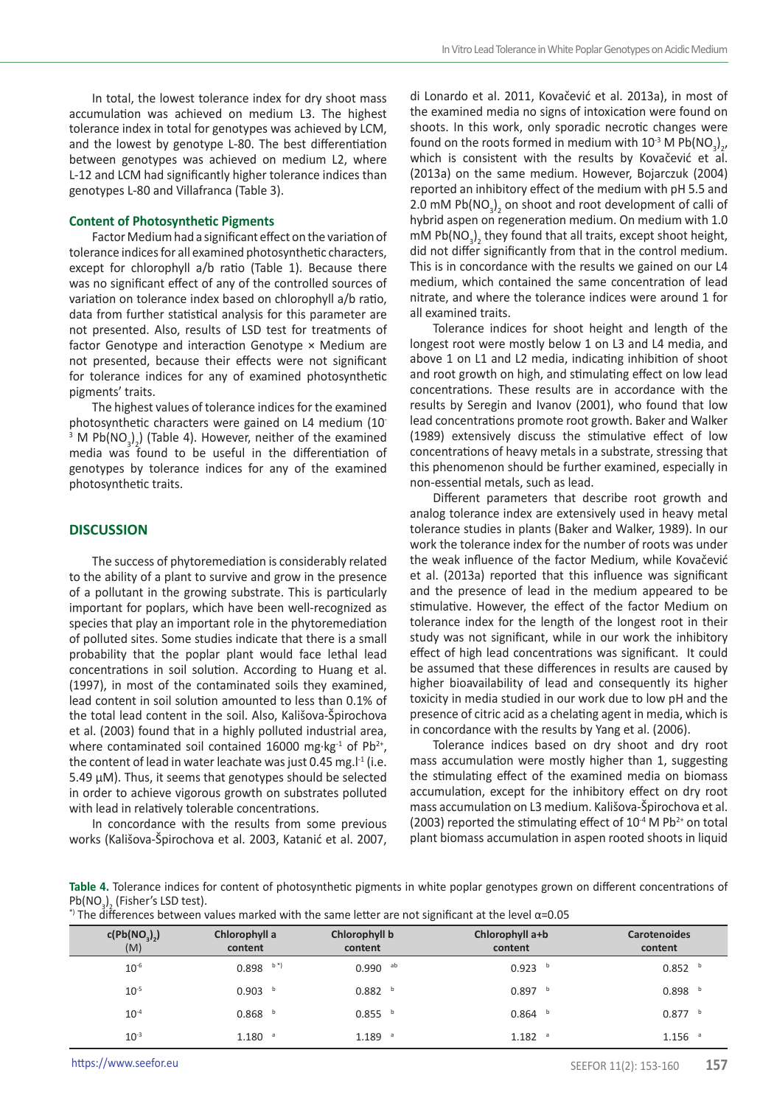In total, the lowest tolerance index for dry shoot mass accumulation was achieved on medium L3. The highest tolerance index in total for genotypes was achieved by LCM, and the lowest by genotype L-80. The best differentiation between genotypes was achieved on medium L2, where L-12 and LCM had significantly higher tolerance indices than genotypes L-80 and Villafranca (Table 3).

## **Content of Photosynthetic Pigments**

Factor Medium had a significant effect on the variation of tolerance indices for all examined photosynthetic characters, except for chlorophyll a/b ratio (Table 1). Because there was no significant effect of any of the controlled sources of variation on tolerance index based on chlorophyll a/b ratio, data from further statistical analysis for this parameter are not presented. Also, results of LSD test for treatments of factor Genotype and interaction Genotype × Medium are not presented, because their effects were not significant for tolerance indices for any of examined photosynthetic pigments' traits.

The highest values of tolerance indices for the examined photosynthetic characters were gained on L4 medium (10- <sup>3</sup> M Pb(NO<sub>3</sub>)<sub>2</sub>) (Table 4). However, neither of the examined  $m \cdot x_1 \cdot x_3 \cdot y_2$ , takes  $y_1$ , respectively, networks of the extamined media was found to be useful in the differentiation of genotypes by tolerance indices for any of the examined photosynthetic traits.

## **DISCUSSION**

The success of phytoremediation is considerably related to the ability of a plant to survive and grow in the presence of a pollutant in the growing substrate. This is particularly important for poplars, which have been well-recognized as species that play an important role in the phytoremediation of polluted sites. Some studies indicate that there is a small probability that the poplar plant would face lethal lead concentrations in soil solution. According to Huang et al. (1997), in most of the contaminated soils they examined, lead content in soil solution amounted to less than 0.1% of the total lead content in the soil. Also, Kališova-Špirochova et al. (2003) found that in a highly polluted industrial area, where contaminated soil contained 16000 mg⋅kg<sup>-1</sup> of Pb<sup>2+</sup>, the content of lead in water leachate was just 0.45 mg. $l<sup>-1</sup>$  (i.e. 5.49 μM). Thus, it seems that genotypes should be selected in order to achieve vigorous growth on substrates polluted with lead in relatively tolerable concentrations.

In concordance with the results from some previous works (Kališova-Špirochova et al. 2003, Katanić et al. 2007,

di Lonardo et al. 2011, Kovačević et al. 2013a), in most of the examined media no signs of intoxication were found on shoots. In this work, only sporadic necrotic changes were found on the roots formed in medium with  $10^{-3}$  M Pb(NO<sub>3</sub>)<sub>2</sub>, 2 which is consistent with the results by Kovačević et al. (2013a) on the same medium. However, Bojarczuk (2004) reported an inhibitory effect of the medium with pH 5.5 and 2.0 mM Pb( $NO<sub>3</sub>$ )<sub>2</sub> on shoot and root development of calli of 2 hybrid aspen on regeneration medium. On medium with 1.0 mM Pb( $NO<sub>3</sub>$ )<sub>2</sub> they found that all traits, except shoot height, did not differ significantly from that in the control medium. This is in concordance with the results we gained on our L4 medium, which contained the same concentration of lead nitrate, and where the tolerance indices were around 1 for all examined traits.

Tolerance indices for shoot height and length of the longest root were mostly below 1 on L3 and L4 media, and above 1 on L1 and L2 media, indicating inhibition of shoot and root growth on high, and stimulating effect on low lead concentrations. These results are in accordance with the results by Seregin and Ivanov (2001), who found that low lead concentrations promote root growth. Baker and Walker (1989) extensively discuss the stimulative effect of low concentrations of heavy metals in a substrate, stressing that this phenomenon should be further examined, especially in non-essential metals, such as lead.

Different parameters that describe root growth and analog tolerance index are extensively used in heavy metal tolerance studies in plants (Baker and Walker, 1989). In our work the tolerance index for the number of roots was under the weak influence of the factor Medium, while Kovačević et al. (2013a) reported that this influence was significant and the presence of lead in the medium appeared to be stimulative. However, the effect of the factor Medium on tolerance index for the length of the longest root in their study was not significant, while in our work the inhibitory effect of high lead concentrations was significant. It could be assumed that these differences in results are caused by higher bioavailability of lead and consequently its higher toxicity in media studied in our work due to low pH and the presence of citric acid as a chelating agent in media, which is in concordance with the results by Yang et al. (2006).

Tolerance indices based on dry shoot and dry root mass accumulation were mostly higher than 1, suggesting the stimulating effect of the examined media on biomass accumulation, except for the inhibitory effect on dry root mass accumulation on L3 medium. Kališova-Špirochova et al. (2003) reported the stimulating effect of  $10^{-4}$  M Pb<sup>2+</sup> on total plant biomass accumulation in aspen rooted shoots in liquid

**Table 4.** Tolerance indices for content of photosynthetic pigments in white poplar genotypes grown on different concentrations of  $Pb(NO<sub>3</sub>)<sub>2</sub>$  (Fisher's LSD test).

|  | $\cdot$ ) The differences between values marked with the same letter are not significant at the level α=0.05 |  |  |  |  |  |  |  |  |
|--|--------------------------------------------------------------------------------------------------------------|--|--|--|--|--|--|--|--|
|  |                                                                                                              |  |  |  |  |  |  |  |  |

| c(Pb(NO <sub>3</sub> ) <sub>2</sub> )<br>(M) | Chlorophyll a<br>content | Chlorophyll b<br>content | Chlorophyll a+b<br>content | <b>Carotenoides</b><br>content |
|----------------------------------------------|--------------------------|--------------------------|----------------------------|--------------------------------|
| $10^{-6}$                                    | $b^*$<br>0.898           | $0.990$ ab               | $0.923$ b                  | 0.852 <sup>b</sup>             |
| $10^{-5}$                                    | 0.903<br>b               | 0.882 <sup>b</sup>       | 0.897<br>b                 | 0.898<br>b                     |
| $10^{-4}$                                    | 0.868<br>b               | $0.855$ b                | 0.864                      | 0.877<br>b                     |
| $10^{-3}$                                    | 1.180<br>a               | $1.189$ <sup>a</sup>     | $1.182$ <sup>a</sup>       | $1.156$ <sup>a</sup>           |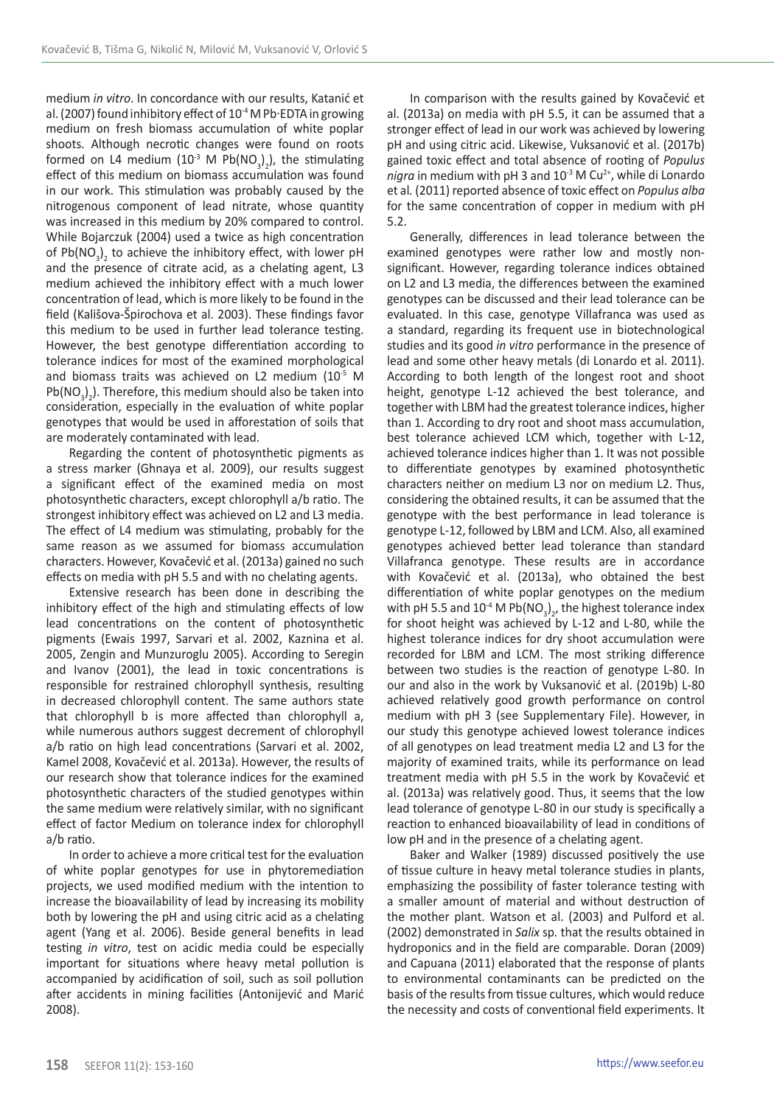medium *in vitro*. In concordance with our results, Katanić et al. (2007) found inhibitory effect of 10<sup>-4</sup> M Pb·EDTA in growing medium on fresh biomass accumulation of white poplar shoots. Although necrotic changes were found on roots formed on L4 medium  $(10^3 \text{ M Pb} (NO<sub>3</sub>)<sub>2</sub>)$ , the stimulating effect of this medium on biomass accumulation was found in our work. This stimulation was probably caused by the nitrogenous component of lead nitrate, whose quantity was increased in this medium by 20% compared to control. While Bojarczuk (2004) used a twice as high concentration of  $Pb(NO<sub>3</sub>)<sub>2</sub>$  to achieve the inhibitory effect, with lower pH and the presence of citrate acid, as a chelating agent, L3 medium achieved the inhibitory effect with a much lower concentration of lead, which is more likely to be found in the field (Kališova-Špirochova et al. 2003). These findings favor this medium to be used in further lead tolerance testing. However, the best genotype differentiation according to tolerance indices for most of the examined morphological and biomass traits was achieved on L2 medium (10<sup>-5</sup> M  $Pb(NO<sub>3</sub>)<sub>2</sub>$ ). Therefore, this medium should also be taken into  $2 \times 10^{-3}$  consideration, especially in the evaluation of white poplar genotypes that would be used in afforestation of soils that are moderately contaminated with lead.

Regarding the content of photosynthetic pigments as a stress marker (Ghnaya et al. 2009), our results suggest a significant effect of the examined media on most photosynthetic characters, except chlorophyll a/b ratio. The strongest inhibitory effect was achieved on L2 and L3 media. The effect of L4 medium was stimulating, probably for the same reason as we assumed for biomass accumulation characters. However, Kovačević et al. (2013a) gained no such effects on media with pH 5.5 and with no chelating agents.

Extensive research has been done in describing the inhibitory effect of the high and stimulating effects of low lead concentrations on the content of photosynthetic pigments (Ewais 1997, Sarvari et al. 2002, Kaznina et al. 2005, Zengin and Munzuroglu 2005). According to Seregin and Ivanov (2001), the lead in toxic concentrations is responsible for restrained chlorophyll synthesis, resulting in decreased chlorophyll content. The same authors state that chlorophyll b is more affected than chlorophyll a, while numerous authors suggest decrement of chlorophyll a/b ratio on high lead concentrations (Sarvari et al. 2002, Kamel 2008, Kovačević et al. 2013a). However, the results of our research show that tolerance indices for the examined photosynthetic characters of the studied genotypes within the same medium were relatively similar, with no significant effect of factor Medium on tolerance index for chlorophyll a/b ratio.

In order to achieve a more critical test for the evaluation of white poplar genotypes for use in phytoremediation projects, we used modified medium with the intention to increase the bioavailability of lead by increasing its mobility both by lowering the pH and using citric acid as a chelating agent (Yang et al. 2006). Beside general benefits in lead testing *in vitro*, test on acidic media could be especially important for situations where heavy metal pollution is accompanied by acidification of soil, such as soil pollution after accidents in mining facilities (Antonijević and Marić 2008).

In comparison with the results gained by Kovačević et al. (2013a) on media with pH 5.5, it can be assumed that a stronger effect of lead in our work was achieved by lowering pH and using citric acid. Likewise, Vuksanović et al. (2017b) gained toxic effect and total absence of rooting of *Populus nigra* in medium with pH 3 and 10<sup>-3</sup> M Cu<sup>2+</sup>, while di Lonardo et al*.* (2011) reported absence of toxic effect on *Populus alba* for the same concentration of copper in medium with pH 5.2.

Generally, differences in lead tolerance between the examined genotypes were rather low and mostly nonsignificant. However, regarding tolerance indices obtained on L2 and L3 media, the differences between the examined genotypes can be discussed and their lead tolerance can be evaluated. In this case, genotype Villafranca was used as a standard, regarding its frequent use in biotechnological studies and its good *in vitro* performance in the presence of lead and some other heavy metals (di Lonardo et al. 2011). According to both length of the longest root and shoot height, genotype L-12 achieved the best tolerance, and together with LBM had the greatest tolerance indices, higher than 1. According to dry root and shoot mass accumulation, best tolerance achieved LCM which, together with L-12, achieved tolerance indices higher than 1. It was not possible to differentiate genotypes by examined photosynthetic characters neither on medium L3 nor on medium L2. Thus, considering the obtained results, it can be assumed that the genotype with the best performance in lead tolerance is genotype L-12, followed by LBM and LCM. Also, all examined genotypes achieved better lead tolerance than standard Villafranca genotype. These results are in accordance with Kovačević et al. (2013a), who obtained the best differentiation of white poplar genotypes on the medium with pH 5.5 and  $10^{-4}$  M Pb(NO<sub>3</sub>)<sub>2</sub>, the highest tolerance index for shoot height was achieved by  $L-12$  and  $L-80$ , while the highest tolerance indices for dry shoot accumulation were recorded for LBM and LCM. The most striking difference between two studies is the reaction of genotype L-80. In our and also in the work by Vuksanović et al. (2019b) L-80 achieved relatively good growth performance on control medium with pH 3 (see Supplementary File). However, in our study this genotype achieved lowest tolerance indices of all genotypes on lead treatment media L2 and L3 for the majority of examined traits, while its performance on lead treatment media with pH 5.5 in the work by Kovačević et al. (2013a) was relatively good. Thus, it seems that the low lead tolerance of genotype L-80 in our study is specifically a reaction to enhanced bioavailability of lead in conditions of low pH and in the presence of a chelating agent.

Baker and Walker (1989) discussed positively the use of tissue culture in heavy metal tolerance studies in plants, emphasizing the possibility of faster tolerance testing with a smaller amount of material and without destruction of the mother plant. Watson et al. (2003) and Pulford et al. (2002) demonstrated in *Salix* sp*.* that the results obtained in hydroponics and in the field are comparable. Doran (2009) and Capuana (2011) elaborated that the response of plants to environmental contaminants can be predicted on the basis of the results from tissue cultures, which would reduce the necessity and costs of conventional field experiments. It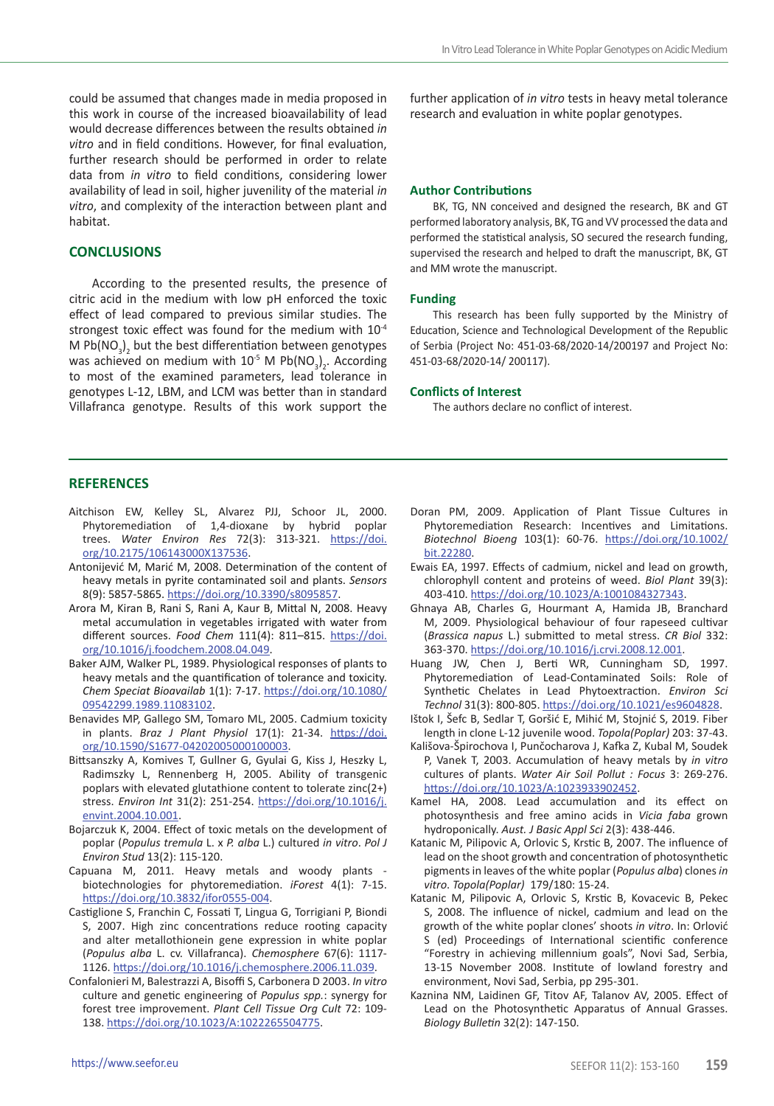could be assumed that changes made in media proposed in this work in course of the increased bioavailability of lead would decrease differences between the results obtained *in vitro* and in field conditions. However, for final evaluation, further research should be performed in order to relate data from *in vitro* to field conditions, considering lower availability of lead in soil, higher juvenility of the material *in vitro*, and complexity of the interaction between plant and habitat.

# **CONCLUSIONS**

According to the presented results, the presence of citric acid in the medium with low pH enforced the toxic effect of lead compared to previous similar studies. The strongest toxic effect was found for the medium with 10-4 M Pb( $NO<sub>3</sub>$ )<sub>2</sub> but the best differentiation between genotypes was achieved on medium with  $10^{-5}$  M  $Pb(NO<sub>3</sub>)<sub>2</sub>$ . According to most of the examined parameters, lead tolerance in genotypes L-12, LBM, and LCM was better than in standard Villafranca genotype. Results of this work support the further application of *in vitro* tests in heavy metal tolerance research and evaluation in white poplar genotypes.

## **Author Contributions**

BK, TG, NN conceived and designed the research, BK and GT performed laboratory analysis, BK, TG and VV processed the data and performed the statistical analysis, SO secured the research funding, supervised the research and helped to draft the manuscript, BK, GT and MM wrote the manuscript.

#### **Funding**

This research has been fully supported by the Ministry of Education, Science and Technological Development of the Republic of Serbia (Project No: 451-03-68/2020-14/200197 and Project No: 451-03-68/2020-14/ 200117).

#### **Conflicts of Interest**

The authors declare no conflict of interest.

## **REFERENCES**

- Aitchison EW, Kelley SL, Alvarez PJJ, Schoor JL, 2000. Phytoremediation of 1,4-dioxane by hybrid poplar trees. *Water Environ Res* 72(3): 313-321. [https://doi.](https://doi.org/10.2175/106143000X137536) [org/10.2175/106143000X137536.](https://doi.org/10.2175/106143000X137536)
- Antonijević M, Marić M, 2008. Determination of the content of heavy metals in pyrite contaminated soil and plants. *Sensors* 8(9): 5857-5865. [https://doi.org/10.3390/s8095857.](https://doi.org/10.3390/s8095857)
- Arora M, Kiran B, Rani S, Rani A, Kaur B, Mittal N, 2008. Heavy metal accumulation in vegetables irrigated with water from different sources. *Food Chem* 111(4): 811–815. [https://doi.](https://doi.org/10.1016/j.foodchem.2008.04.049) [org/10.1016/j.foodchem.2008.04.049.](https://doi.org/10.1016/j.foodchem.2008.04.049)
- Baker AJM, Walker PL, 1989. Physiological responses of plants to heavy metals and the quantification of tolerance and toxicity. *Chem Speciat Bioavailab* 1(1): 7-17. [https://doi.org/10.1080/](https://doi.org/10.1080/09542299.1989.11083102) [09542299.1989.11083102.](https://doi.org/10.1080/09542299.1989.11083102)
- Benavides MP, Gallego SM, Tomaro ML, 2005. Cadmium toxicity in plants. *Braz J Plant Physiol* 17(1): 21-34. [https://doi.](https://doi.org/10.1590/S1677-04202005000100003) [org/10.1590/S1677-04202005000100003](https://doi.org/10.1590/S1677-04202005000100003).
- Bittsanszky A, Komives T, Gullner G, Gyulai G, Kiss J, Heszky L, Radimszky L, Rennenberg H, 2005. Ability of transgenic poplars with elevated glutathione content to tolerate zinc(2+) stress. *Environ Int* 31(2): 251-254. [https://doi.org/10.1016/j.](https://doi.org/10.1016/j.envint.2004.10.001) [envint.2004.10.001.](https://doi.org/10.1016/j.envint.2004.10.001)
- Bojarczuk K, 2004. Effect of toxic metals on the development of poplar (*Populus tremula* L. x *P. alba* L.) cultured *in vitro*. *Pol J Environ Stud* 13(2): 115-120.
- Capuana M, 2011. Heavy metals and woody plants biotechnologies for phytoremediation. *iForest* 4(1): 7-15. [https://doi.org/10.3832/ifor0555-004.](https://doi.org/10.3832/ifor0555-004)
- Castiglione S, Franchin C, Fossati T, Lingua G, Torrigiani P, Biondi S, 2007. High zinc concentrations reduce rooting capacity and alter metallothionein gene expression in white poplar (*Populus alba* L. cv. Villafranca). *Chemosphere* 67(6): 1117- 1126. <https://doi.org/10.1016/j.chemosphere.2006.11.039>.
- Confalonieri M, Balestrazzi A, Bisoffi S, Carbonera D 2003. *In vitro* culture and genetic engineering of *Populus spp.*: synergy for forest tree improvement. *Plant Cell Tissue Org Cult* 72: 109- 138. [https://doi.org/10.1023/A:1022265504775.](https://doi.org/10.1023/A:1022265504775)
- Doran PM, 2009. Application of Plant Tissue Cultures in Phytoremediation Research: Incentives and Limitations. *Biotechnol Bioeng* 103(1): 60-76. [https://doi.org/10.1002/](https://doi.org/10.1002/bit.22280) [bit.22280](https://doi.org/10.1002/bit.22280).
- Ewais EA, 1997. Effects of cadmium, nickel and lead on growth, chlorophyll content and proteins of weed. *Biol Plant* 39(3): 403-410. [https://doi.org/10.1023/A:1001084327343.](https://doi.org/10.1023/A:1001084327343)
- Ghnaya AB, Charles G, Hourmant A, Hamida JB, Branchard M, 2009. Physiological behaviour of four rapeseed cultivar (*Brassica napus* L.) submitted to metal stress. *CR Biol* 332: 363-370. [https://doi.org/10.1016/j.crvi.2008.12.001.](https://doi.org/10.1016/j.crvi.2008.12.001)
- Huang JW, Chen J, Berti WR, Cunningham SD, 1997. Phytoremediation of Lead-Contaminated Soils: Role of Synthetic Chelates in Lead Phytoextraction. *Environ Sci Technol* 31(3): 800-805. [https://doi.org/10.1021/es9604828.](https://doi.org/10.1021/es9604828)
- Ištok I, Šefc B, Sedlar T, Goršić E, Mihić M, Stojnić S, 2019. Fiber length in clone L-12 juvenile wood. *Topola(Poplar)* 203: 37-43.
- Kališova-Špirochova I, Punčocharova J, Kafka Z, Kubal M, Soudek P, Vanek T, 2003. Accumulation of heavy metals by *in vitro* cultures of plants. *Water Air Soil Pollut : Focus* 3: 269-276. <https://doi.org/10.1023/A:1023933902452>.
- Kamel HA, 2008. Lead accumulation and its effect on photosynthesis and free amino acids in *Vicia faba* grown hydroponically. *Aust. J Basic Appl Sci* 2(3): 438-446.
- Katanic M, Pilipovic A, Orlovic S, Krstic B, 2007. The influence of lead on the shoot growth and concentration of photosynthetic pigments in leaves of the white poplar (*Populus alba*) clones *in vitro*. *Topola(Poplar)* 179/180: 15-24.
- Katanic M, Pilipovic A, Orlovic S, Krstic B, Kovacevic B, Pekec S, 2008. The influence of nickel, cadmium and lead on the growth of the white poplar clones' shoots *in vitro*. In: Orlović S (ed) Proceedings of International scientific conference "Forestry in achieving millennium goals", Novi Sad, Serbia, 13-15 November 2008. Institute of lowland forestry and environment, Novi Sad, Serbia, pp 295-301.
- Kaznina NM, Laidinen GF, Titov AF, Talanov AV, 2005. Effect of Lead on the Photosynthetic Apparatus of Annual Grasses. *Biology Bulletin* 32(2): 147-150.